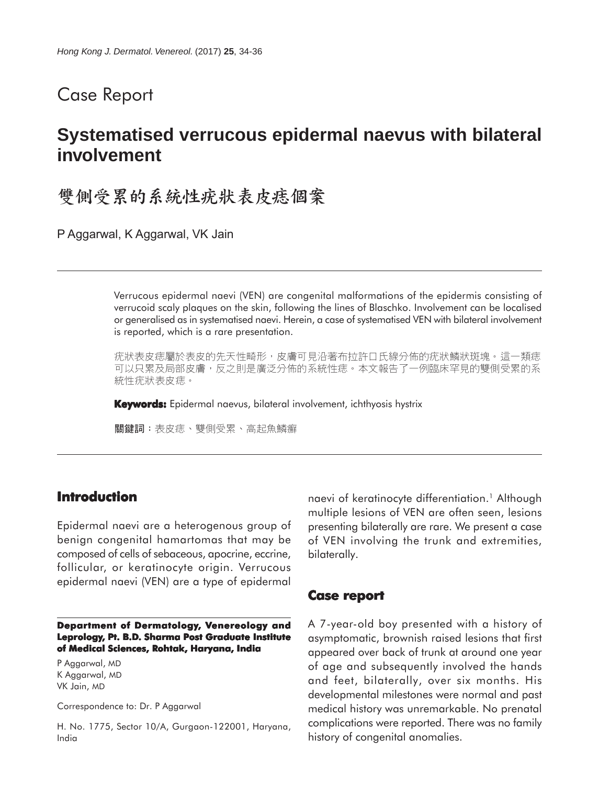### Case Report

# **Systematised verrucous epidermal naevus with bilateral involvement**

# 雙側受累的系統性疣狀表皮痣個案

P Aggarwal, K Aggarwal, VK Jain

Verrucous epidermal naevi (VEN) are congenital malformations of the epidermis consisting of verrucoid scaly plaques on the skin, following the lines of Blaschko. Involvement can be localised or generalised as in systematised naevi. Herein, a case of systematised VEN with bilateral involvement is reported, which is a rare presentation.

疣狀表皮痣屬於表皮的先天性畸形,皮膚可見沿著布拉許口氏線分佈的疣狀鱗狀斑塊。這一類痣 可以只累及局部皮膚,反之則是廣泛分佈的系統性痣。本文報告了一例臨床罕見的雙側受累的系 統性疣狀表皮痣。

**Keywords:** Epidermal naevus, bilateral involvement, ichthyosis hystrix

關鍵詞:表皮痣、雙側受累、高起魚鱗癬

#### **Introduction**

Epidermal naevi are a heterogenous group of benign congenital hamartomas that may be composed of cells of sebaceous, apocrine, eccrine, follicular, or keratinocyte origin. Verrucous epidermal naevi (VEN) are a type of epidermal

**Department of Dermatology, Venereology and Leprology, Pt. B.D. Sharma Post Graduate Institute of Medical Sciences, Rohtak, Haryana, India**

P Aggarwal, MD K Aggarwal, MD VK Jain, MD

Correspondence to: Dr. P Aggarwal

H. No. 1775, Sector 10/A, Gurgaon-122001, Haryana, India

naevi of keratinocyte differentiation.<sup>1</sup> Although multiple lesions of VEN are often seen, lesions presenting bilaterally are rare. We present a case of VEN involving the trunk and extremities, bilaterally.

#### **Case report**

A 7-year-old boy presented with a history of asymptomatic, brownish raised lesions that first appeared over back of trunk at around one year of age and subsequently involved the hands and feet, bilaterally, over six months. His developmental milestones were normal and past medical history was unremarkable. No prenatal complications were reported. There was no family history of congenital anomalies.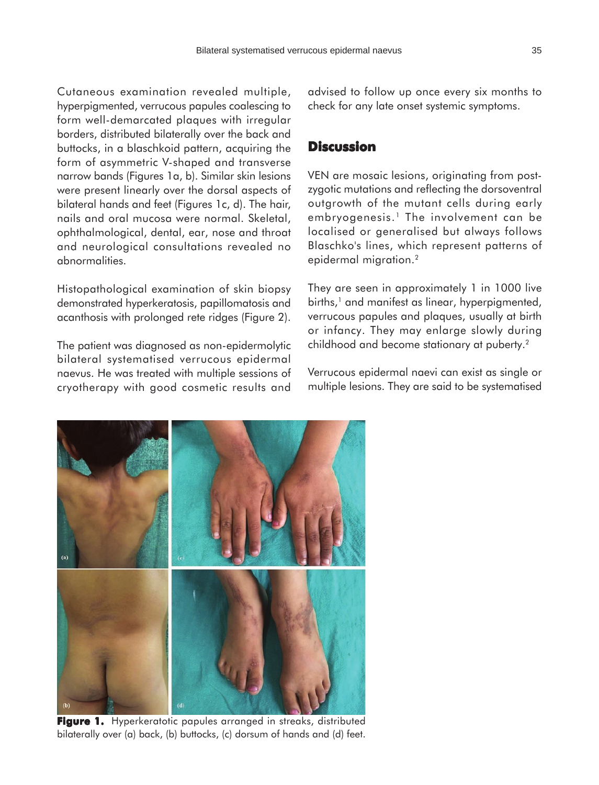Cutaneous examination revealed multiple, hyperpigmented, verrucous papules coalescing to form well-demarcated plaques with irregular borders, distributed bilaterally over the back and buttocks, in a blaschkoid pattern, acquiring the form of asymmetric V-shaped and transverse narrow bands (Figures 1a, b). Similar skin lesions were present linearly over the dorsal aspects of bilateral hands and feet (Figures 1c, d). The hair, nails and oral mucosa were normal. Skeletal, ophthalmological, dental, ear, nose and throat and neurological consultations revealed no abnormalities.

Histopathological examination of skin biopsy demonstrated hyperkeratosis, papillomatosis and acanthosis with prolonged rete ridges (Figure 2).

The patient was diagnosed as non-epidermolytic bilateral systematised verrucous epidermal naevus. He was treated with multiple sessions of cryotherapy with good cosmetic results and

advised to follow up once every six months to check for any late onset systemic symptoms.

### **Discussion**

VEN are mosaic lesions, originating from postzygotic mutations and reflecting the dorsoventral outgrowth of the mutant cells during early embryogenesis.<sup>1</sup> The involvement can be localised or generalised but always follows Blaschko's lines, which represent patterns of epidermal migration.2

They are seen in approximately 1 in 1000 live births,<sup>1</sup> and manifest as linear, hyperpigmented, verrucous papules and plaques, usually at birth or infancy. They may enlarge slowly during childhood and become stationary at puberty.2

Verrucous epidermal naevi can exist as single or multiple lesions. They are said to be systematised

Figure 1. Hyperkeratotic papules arranged in streaks, distributed bilaterally over (a) back, (b) buttocks, (c) dorsum of hands and (d) feet.